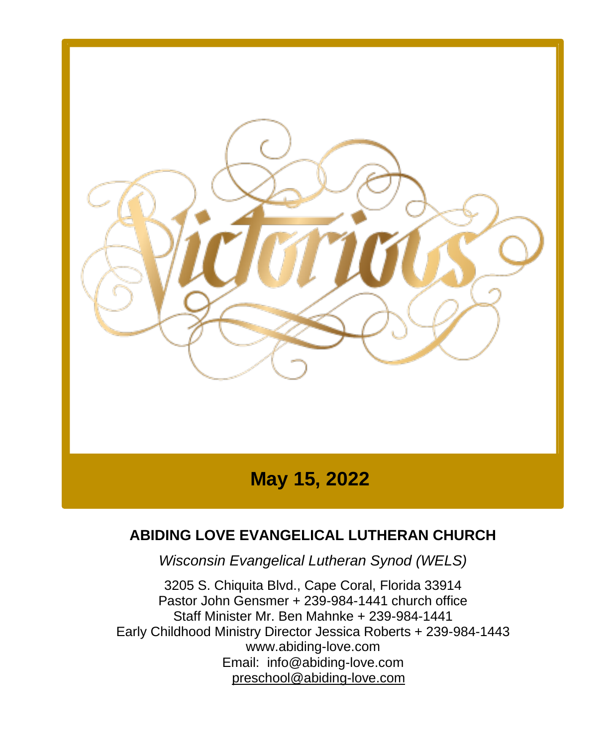

#### **ABIDING LOVE EVANGELICAL LUTHERAN CHURCH**

*Wisconsin Evangelical Lutheran Synod (WELS)*

3205 S. Chiquita Blvd., Cape Coral, Florida 33914 Pastor John Gensmer + 239-984-1441 church office Staff Minister Mr. Ben Mahnke + 239-984-1441 Early Childhood Ministry Director Jessica Roberts + 239-984-1443 www.abiding-love.com Email: info@abiding-love.com [preschool@abiding-love.com](mailto:preschool@abiding-love.com)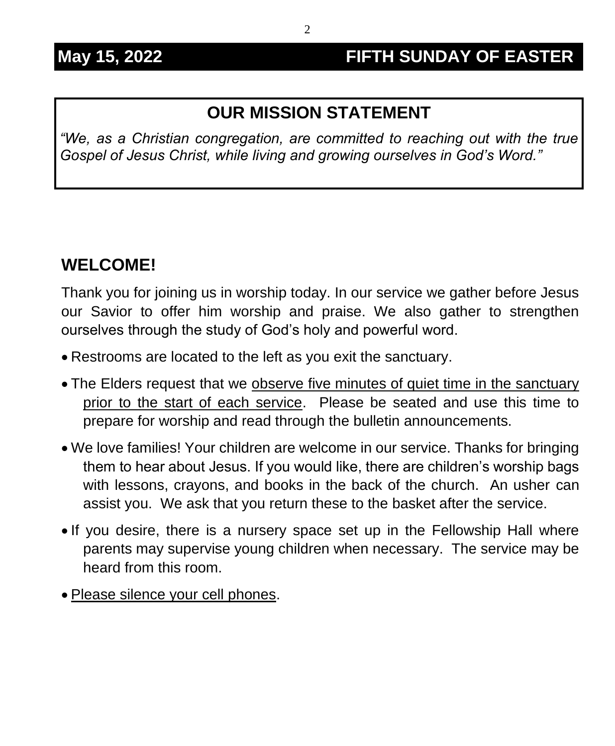## **May 15, 2022 FIFTH SUNDAY OF EASTER**

## **OUR MISSION STATEMENT**

*"We, as a Christian congregation, are committed to reaching out with the true Gospel of Jesus Christ, while living and growing ourselves in God's Word."*

### **WELCOME!**

Thank you for joining us in worship today. In our service we gather before Jesus our Savior to offer him worship and praise. We also gather to strengthen ourselves through the study of God's holy and powerful word.

- Restrooms are located to the left as you exit the sanctuary.
- The Elders request that we observe five minutes of quiet time in the sanctuary prior to the start of each service. Please be seated and use this time to prepare for worship and read through the bulletin announcements.
- We love families! Your children are welcome in our service. Thanks for bringing them to hear about Jesus. If you would like, there are children's worship bags with lessons, crayons, and books in the back of the church. An usher can assist you. We ask that you return these to the basket after the service.
- If you desire, there is a nursery space set up in the Fellowship Hall where parents may supervise young children when necessary. The service may be heard from this room.
- Please silence your cell phones.

2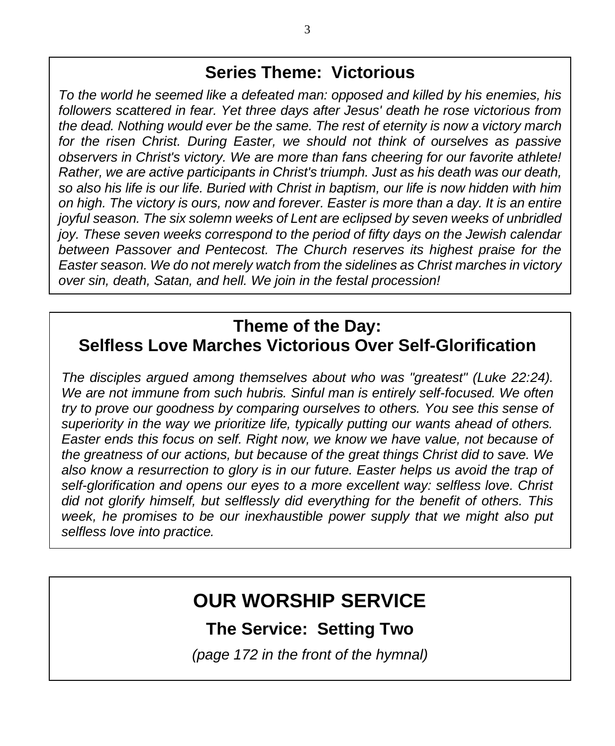#### **Series Theme: Victorious**

*To the world he seemed like a defeated man: opposed and killed by his enemies, his followers scattered in fear. Yet three days after Jesus' death he rose victorious from the dead. Nothing would ever be the same. The rest of eternity is now a victory march for the risen Christ. During Easter, we should not think of ourselves as passive observers in Christ's victory. We are more than fans cheering for our favorite athlete! Rather, we are active participants in Christ's triumph. Just as his death was our death, so also his life is our life. Buried with Christ in baptism, our life is now hidden with him on high. The victory is ours, now and forever. Easter is more than a day. It is an entire joyful season. The six solemn weeks of Lent are eclipsed by seven weeks of unbridled joy. These seven weeks correspond to the period of fifty days on the Jewish calendar between Passover and Pentecost. The Church reserves its highest praise for the Easter season. We do not merely watch from the sidelines as Christ marches in victory over sin, death, Satan, and hell. We join in the festal procession!*

#### **Theme of the Day: Selfless Love Marches Victorious Over Self-Glorification**

*The disciples argued among themselves about who was "greatest" (Luke 22:24). We are not immune from such hubris. Sinful man is entirely self-focused. We often try to prove our goodness by comparing ourselves to others. You see this sense of superiority in the way we prioritize life, typically putting our wants ahead of others. Easter ends this focus on self. Right now, we know we have value, not because of the greatness of our actions, but because of the great things Christ did to save. We also know a resurrection to glory is in our future. Easter helps us avoid the trap of self-glorification and opens our eyes to a more excellent way: selfless love. Christ did not glorify himself, but selflessly did everything for the benefit of others. This week, he promises to be our inexhaustible power supply that we might also put selfless love into practice.*

# **OUR WORSHIP SERVICE**

**The Service: Setting Two**

*(page 172 in the front of the hymnal)*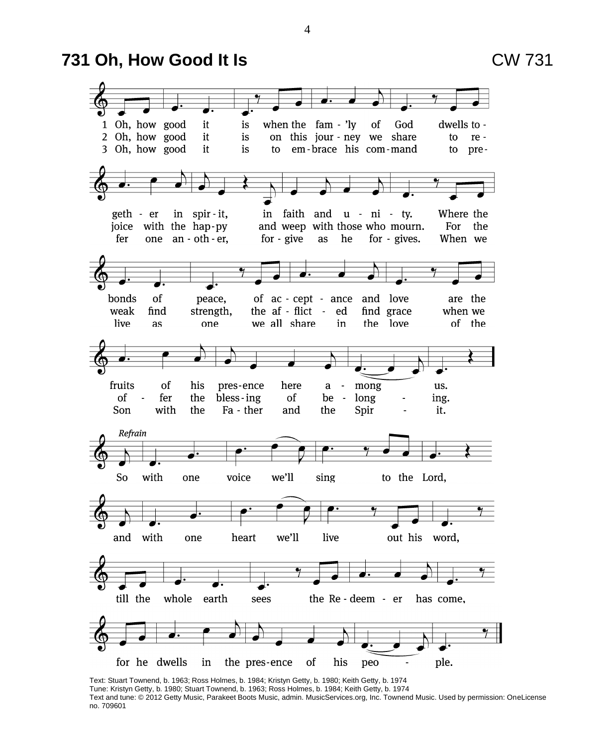4

### **731 Oh, How Good It Is** CW 731



Text: Stuart Townend, b. 1963; Ross Holmes, b. 1984; Kristyn Getty, b. 1980; Keith Getty, b. 1974 Tune: Kristyn Getty, b. 1980; Stuart Townend, b. 1963; Ross Holmes, b. 1984; Keith Getty, b. 1974 Text and tune: © 2012 Getty Music, Parakeet Boots Music, admin. MusicServices.org, Inc. Townend Music. Used by permission: OneLicense no. 709601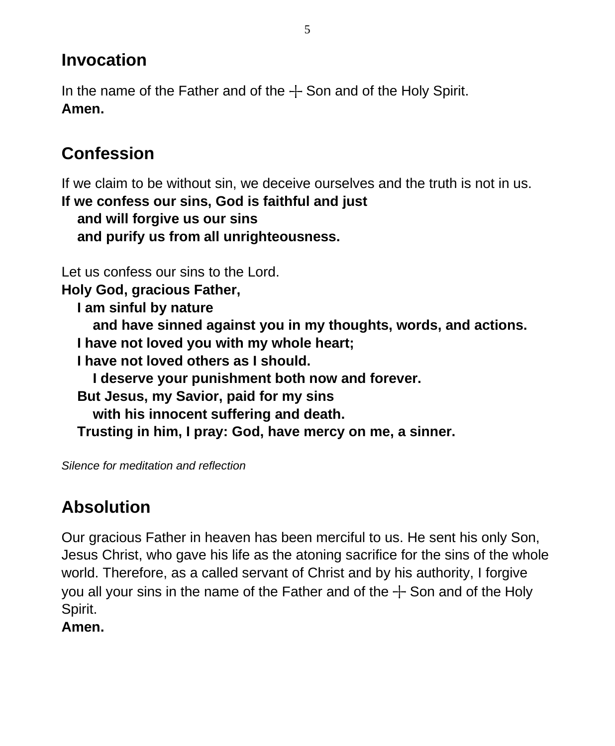### **Invocation**

In the name of the Father and of the  $+$  Son and of the Holy Spirit. **Amen.**

# **Confession**

If we claim to be without sin, we deceive ourselves and the truth is not in us. **If we confess our sins, God is faithful and just and will forgive us our sins and purify us from all unrighteousness.**

Let us confess our sins to the Lord. **Holy God, gracious Father, I am sinful by nature and have sinned against you in my thoughts, words, and actions. I have not loved you with my whole heart; I have not loved others as I should. I deserve your punishment both now and forever. But Jesus, my Savior, paid for my sins with his innocent suffering and death. Trusting in him, I pray: God, have mercy on me, a sinner.**

*Silence for meditation and reflection*

# **Absolution**

Our gracious Father in heaven has been merciful to us. He sent his only Son, Jesus Christ, who gave his life as the atoning sacrifice for the sins of the whole world. Therefore, as a called servant of Christ and by his authority, I forgive you all your sins in the name of the Father and of the  $+$  Son and of the Holy Spirit.

#### **Amen.**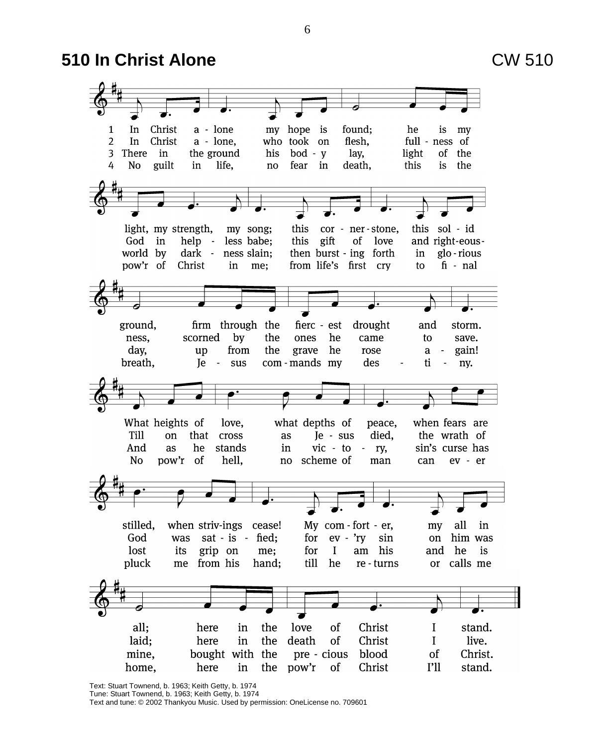**510 In Christ Alone** CW 510



Text: Stuart Townend, b. 1963; Keith Getty, b. 1974

Tune: Stuart Townend, b. 1963; Keith Getty, b. 1974

Text and tune: © 2002 Thankyou Music. Used by permission: OneLicense no. 709601

6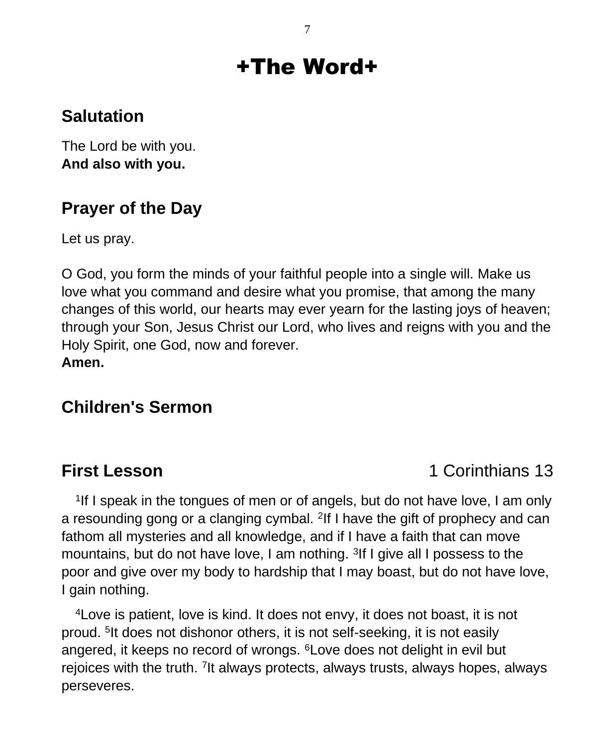# +The Word+

### **Salutation**

The Lord be with you. **And also with you.**

## **Prayer of the Day**

Let us pray.

O God, you form the minds of your faithful people into a single will. Make us love what you command and desire what you promise, that among the many changes of this world, our hearts may ever yearn for the lasting joys of heaven; through your Son, Jesus Christ our Lord, who lives and reigns with you and the Holy Spirit, one God, now and forever. **Amen.**

## **Children's Sermon**

**First Lesson 1 1** Corinthians 13

<sup>1</sup>If I speak in the tongues of men or of angels, but do not have love, I am only a resounding gong or a clanging cymbal. <sup>2</sup>If I have the gift of prophecy and can fathom all mysteries and all knowledge, and if I have a faith that can move mountains, but do not have love, I am nothing. <sup>3</sup>If I give all I possess to the poor and give over my body to hardship that I may boast, but do not have love, I gain nothing.

<sup>4</sup>Love is patient, love is kind. It does not envy, it does not boast, it is not proud. <sup>5</sup> It does not dishonor others, it is not self-seeking, it is not easily angered, it keeps no record of wrongs. <sup>6</sup>Love does not delight in evil but rejoices with the truth. <sup>7</sup>It always protects, always trusts, always hopes, always perseveres.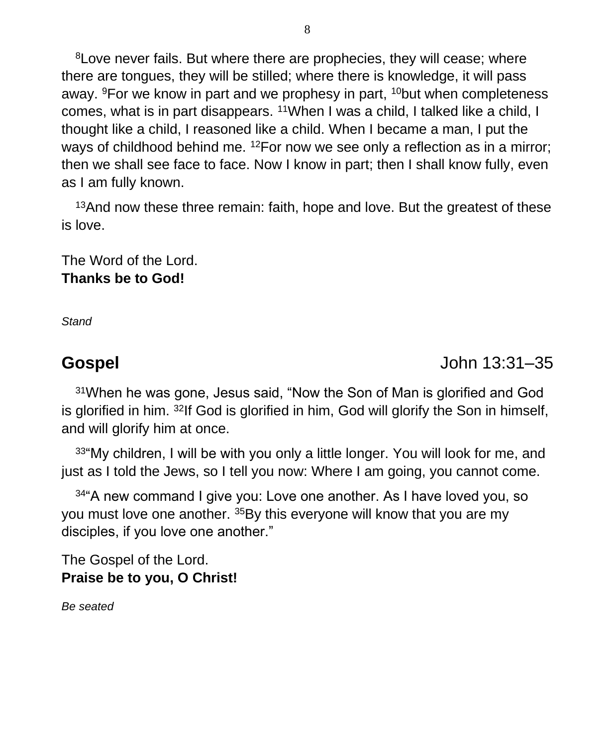<sup>8</sup> Love never fails. But where there are prophecies, they will cease; where there are tongues, they will be stilled; where there is knowledge, it will pass away.  $9$ For we know in part and we prophesy in part,  $10$  but when completeness comes, what is in part disappears. <sup>11</sup>When I was a child, I talked like a child, I thought like a child, I reasoned like a child. When I became a man, I put the ways of childhood behind me. <sup>12</sup>For now we see only a reflection as in a mirror; then we shall see face to face. Now I know in part; then I shall know fully, even as I am fully known.

<sup>13</sup>And now these three remain: faith, hope and love. But the greatest of these is love.

The Word of the Lord. **Thanks be to God!**

*Stand*

**Gospel** John 13:31–35

<sup>31</sup>When he was gone, Jesus said, "Now the Son of Man is glorified and God is glorified in him. <sup>32</sup>If God is glorified in him, God will glorify the Son in himself, and will glorify him at once.

<sup>33</sup>"My children, I will be with you only a little longer. You will look for me, and just as I told the Jews, so I tell you now: Where I am going, you cannot come.

<sup>34</sup>"A new command I give you: Love one another. As I have loved you, so you must love one another. <sup>35</sup>By this everyone will know that you are my disciples, if you love one another."

The Gospel of the Lord. **Praise be to you, O Christ!**

*Be seated*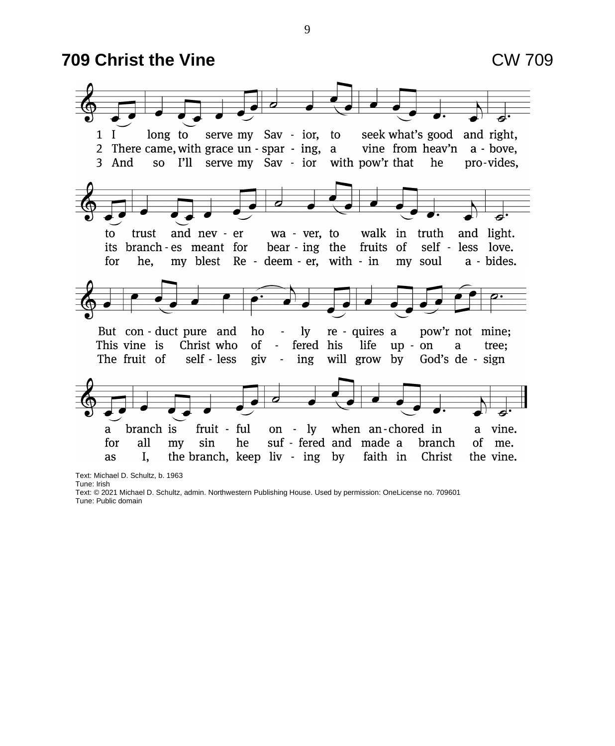**709 Christ the Vine** CW 709



Text: Michael D. Schultz, b. 1963

Tune: Irish

Text: © 2021 Michael D. Schultz, admin. Northwestern Publishing House. Used by permission: OneLicense no. 709601 Tune: Public domain

9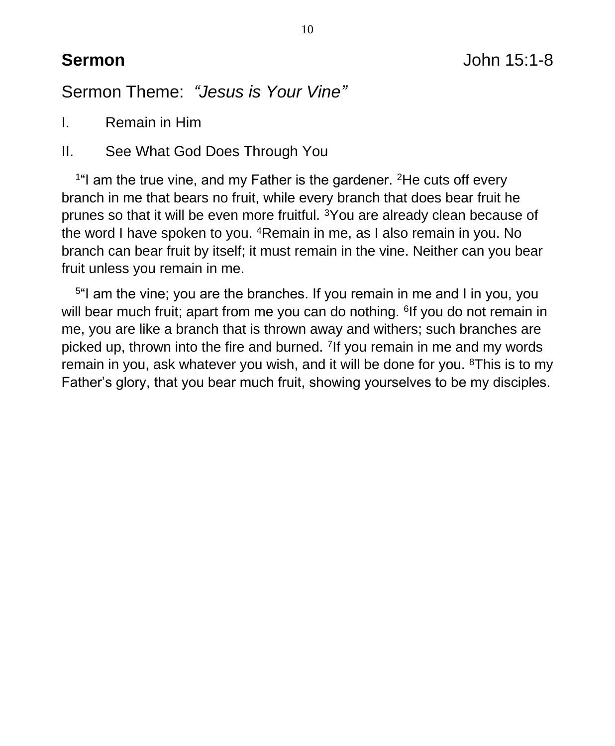Sermon Theme: *"Jesus is Your Vine"*

- I. Remain in Him
- II. See What God Does Through You

<sup>1</sup> am the true vine, and my Father is the gardener. <sup>2</sup>He cuts off every branch in me that bears no fruit, while every branch that does bear fruit he prunes so that it will be even more fruitful. <sup>3</sup>You are already clean because of the word I have spoken to you. <sup>4</sup>Remain in me, as I also remain in you. No branch can bear fruit by itself; it must remain in the vine. Neither can you bear fruit unless you remain in me.

5 "I am the vine; you are the branches. If you remain in me and I in you, you will bear much fruit; apart from me you can do nothing. <sup>6</sup>If you do not remain in me, you are like a branch that is thrown away and withers; such branches are picked up, thrown into the fire and burned. <sup>7</sup>If you remain in me and my words remain in you, ask whatever you wish, and it will be done for you. <sup>8</sup>This is to my Father's glory, that you bear much fruit, showing yourselves to be my disciples.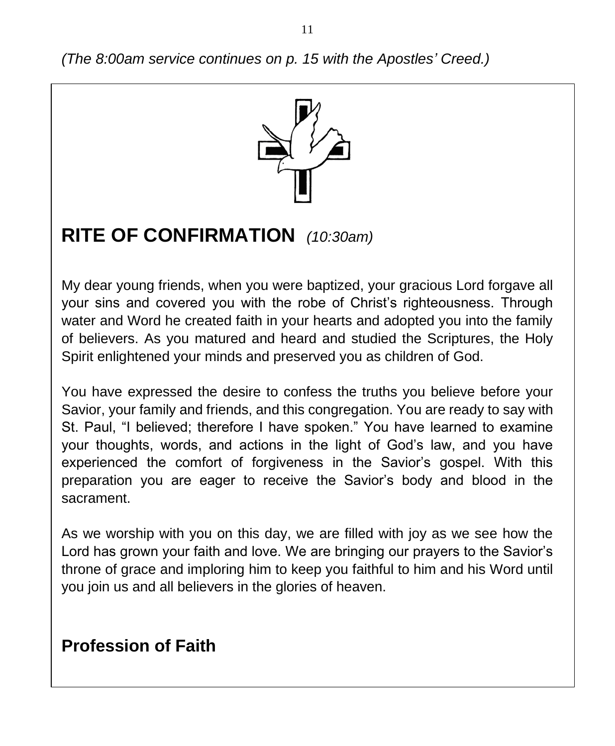*(The 8:00am service continues on p. 15 with the Apostles' Creed.)*



# **RITE OF CONFIRMATION** *(10:30am)*

My dear young friends, when you were baptized, your gracious Lord forgave all your sins and covered you with the robe of Christ's righteousness. Through water and Word he created faith in your hearts and adopted you into the family of believers. As you matured and heard and studied the Scriptures, the Holy Spirit enlightened your minds and preserved you as children of God.

You have expressed the desire to confess the truths you believe before your Savior, your family and friends, and this congregation. You are ready to say with St. Paul, "I believed; therefore I have spoken." You have learned to examine your thoughts, words, and actions in the light of God's law, and you have experienced the comfort of forgiveness in the Savior's gospel. With this preparation you are eager to receive the Savior's body and blood in the sacrament.

As we worship with you on this day, we are filled with joy as we see how the Lord has grown your faith and love. We are bringing our prayers to the Savior's throne of grace and imploring him to keep you faithful to him and his Word until you join us and all believers in the glories of heaven.

## **Profession of Faith**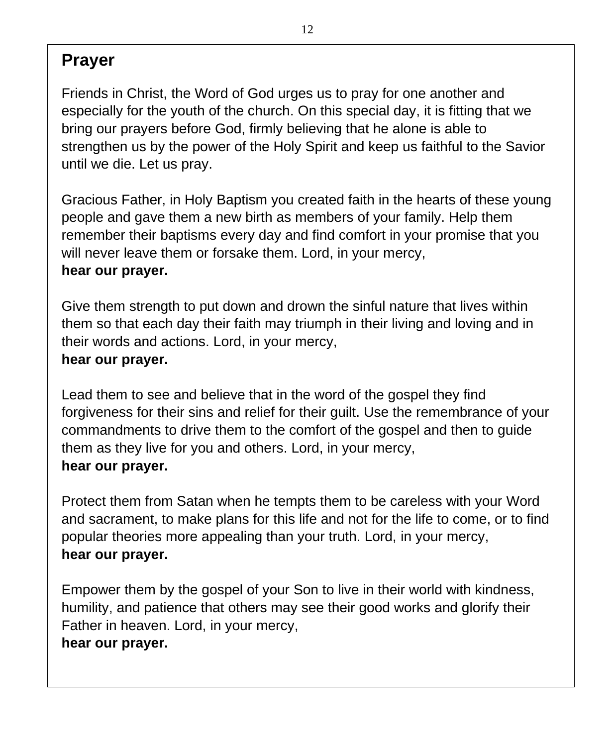### **Prayer**

Friends in Christ, the Word of God urges us to pray for one another and especially for the youth of the church. On this special day, it is fitting that we bring our prayers before God, firmly believing that he alone is able to strengthen us by the power of the Holy Spirit and keep us faithful to the Savior until we die. Let us pray.

Gracious Father, in Holy Baptism you created faith in the hearts of these young people and gave them a new birth as members of your family. Help them remember their baptisms every day and find comfort in your promise that you will never leave them or forsake them. Lord, in your mercy, **hear our prayer.**

Give them strength to put down and drown the sinful nature that lives within them so that each day their faith may triumph in their living and loving and in their words and actions. Lord, in your mercy,

#### **hear our prayer.**

Lead them to see and believe that in the word of the gospel they find forgiveness for their sins and relief for their guilt. Use the remembrance of your commandments to drive them to the comfort of the gospel and then to guide them as they live for you and others. Lord, in your mercy, **hear our prayer.**

Protect them from Satan when he tempts them to be careless with your Word and sacrament, to make plans for this life and not for the life to come, or to find popular theories more appealing than your truth. Lord, in your mercy, **hear our prayer.**

Empower them by the gospel of your Son to live in their world with kindness, humility, and patience that others may see their good works and glorify their Father in heaven. Lord, in your mercy,

#### **hear our prayer.**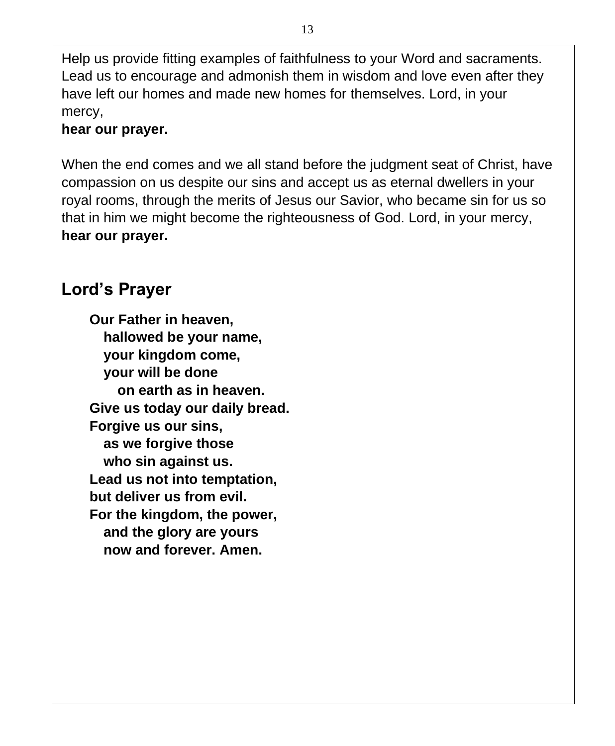Help us provide fitting examples of faithfulness to your Word and sacraments. Lead us to encourage and admonish them in wisdom and love even after they have left our homes and made new homes for themselves. Lord, in your mercy,

#### **hear our prayer.**

When the end comes and we all stand before the judgment seat of Christ, have compassion on us despite our sins and accept us as eternal dwellers in your royal rooms, through the merits of Jesus our Savior, who became sin for us so that in him we might become the righteousness of God. Lord, in your mercy, **hear our prayer.**

# **Lord's Prayer**

**Our Father in heaven, hallowed be your name, your kingdom come, your will be done on earth as in heaven. Give us today our daily bread. Forgive us our sins, as we forgive those who sin against us. Lead us not into temptation, but deliver us from evil. For the kingdom, the power, and the glory are yours now and forever. Amen.**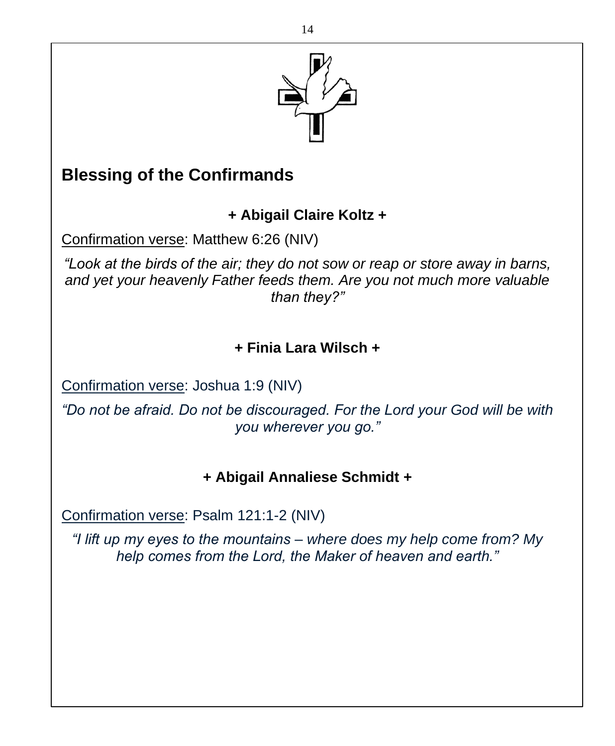

## **Blessing of the Confirmands**

#### **+ Abigail Claire Koltz +**

Confirmation verse: Matthew 6:26 (NIV)

*"Look at the birds of the air; they do not sow or reap or store away in barns, and yet your heavenly Father feeds them. Are you not much more valuable than they?"*

#### **+ Finia Lara Wilsch +**

Confirmation verse: Joshua 1:9 (NIV)

*"Do not be afraid. Do not be discouraged. For the Lord your God will be with you wherever you go."*

#### **+ Abigail Annaliese Schmidt +**

Confirmation verse: Psalm 121:1-2 (NIV)

*"I lift up my eyes to the mountains – where does my help come from? My help comes from the Lord, the Maker of heaven and earth."*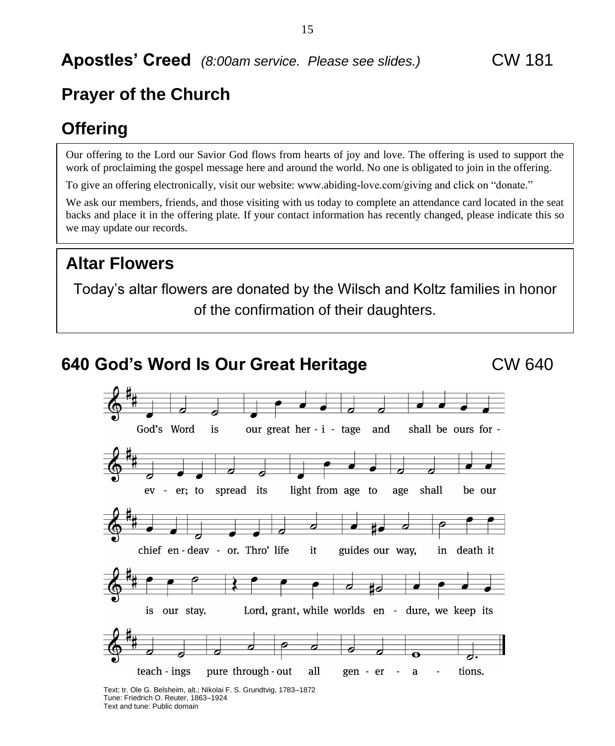#### **Apostles' Creed** *(8:00am service. Please see slides.)* CW 181

### **Prayer of the Church**

### **Offering**

Our offering to the Lord our Savior God flows from hearts of joy and love. The offering is used to support the work of proclaiming the gospel message here and around the world. No one is obligated to join in the offering.

To give an offering electronically, visit our website: www.abiding-love.com/giving and click on "donate."

We ask our members, friends, and those visiting with us today to complete an attendance card located in the seat backs and place it in the offering plate. If your contact information has recently changed, please indicate this so we may update our records.

#### **Altar Flowers**

Today's altar flowers are donated by the Wilsch and Koltz families in honor of the confirmation of their daughters.



Tune: Friedrich O. Reuter, 1863–1924 Text and tune: Public domain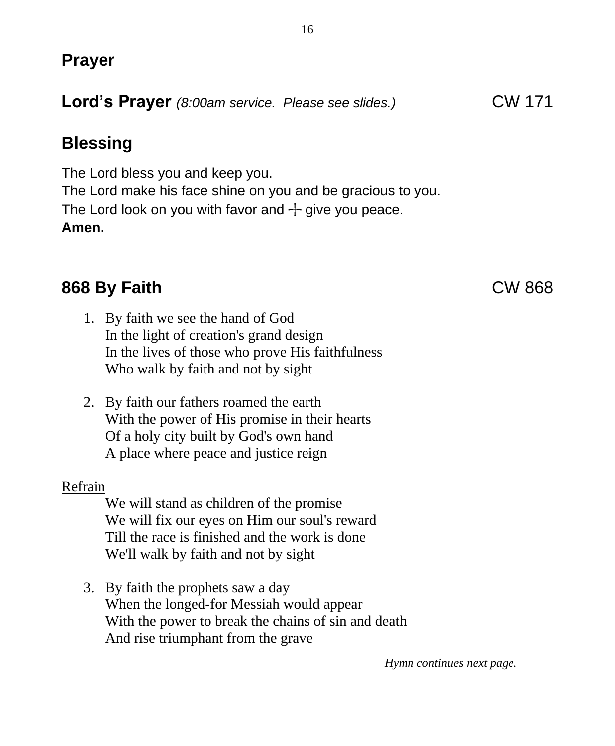### **Prayer**

**Lord's Prayer** *(8:00am service. Please see slides.)* CW 171

## **Blessing**

The Lord bless you and keep you. The Lord make his face shine on you and be gracious to you. The Lord look on you with favor and  $+$  give you peace. **Amen.**

### **868 By Faith** CW 868

- 1. By faith we see the hand of God In the light of creation's grand design In the lives of those who prove His faithfulness Who walk by faith and not by sight
- 2. By faith our fathers roamed the earth With the power of His promise in their hearts Of a holy city built by God's own hand A place where peace and justice reign

#### Refrain

We will stand as children of the promise We will fix our eyes on Him our soul's reward Till the race is finished and the work is done We'll walk by faith and not by sight

3. By faith the prophets saw a day When the longed-for Messiah would appear With the power to break the chains of sin and death And rise triumphant from the grave

16

*Hymn continues next page.*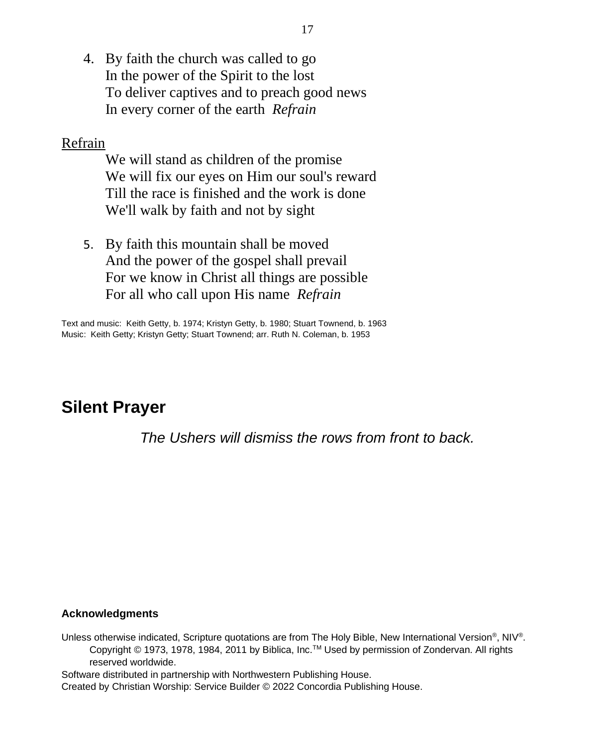4. By faith the church was called to go In the power of the Spirit to the lost To deliver captives and to preach good news In every corner of the earth *Refrain*

#### Refrain

We will stand as children of the promise We will fix our eyes on Him our soul's reward Till the race is finished and the work is done We'll walk by faith and not by sight

5. By faith this mountain shall be moved And the power of the gospel shall prevail For we know in Christ all things are possible For all who call upon His name *Refrain*

Text and music: Keith Getty, b. 1974; Kristyn Getty, b. 1980; Stuart Townend, b. 1963 Music: Keith Getty; Kristyn Getty; Stuart Townend; arr. Ruth N. Coleman, b. 1953

#### **Silent Prayer**

*The Ushers will dismiss the rows from front to back.*

#### **Acknowledgments**

Unless otherwise indicated, Scripture quotations are from The Holy Bible, New International Version®, NIV®. Copyright © 1973, 1978, 1984, 2011 by Biblica, Inc.TM Used by permission of Zondervan. All rights reserved worldwide.

Software distributed in partnership with Northwestern Publishing House.

Created by Christian Worship: Service Builder © 2022 Concordia Publishing House.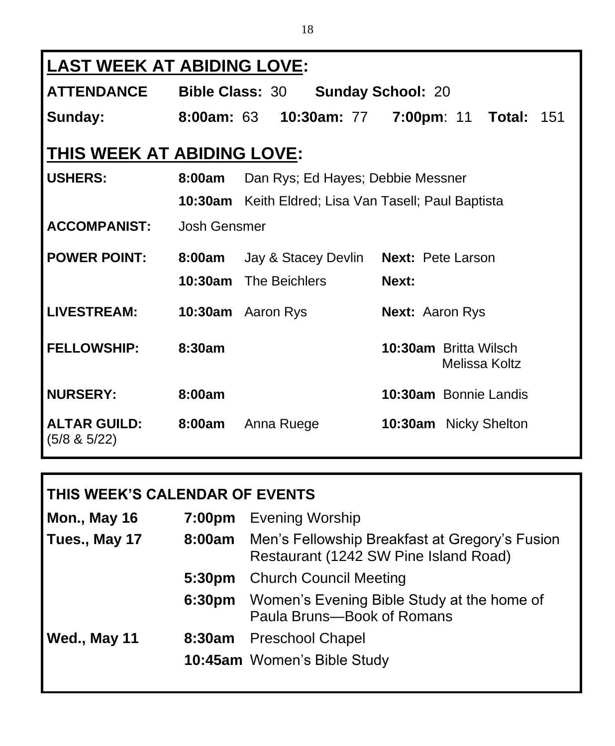| <b>LAST WEEK AT ABIDING LOVE:</b>   |                        |                                                      |                                                 |  |
|-------------------------------------|------------------------|------------------------------------------------------|-------------------------------------------------|--|
| <b>ATTENDANCE</b>                   | <b>Bible Class: 30</b> |                                                      | <b>Sunday School: 20</b>                        |  |
| Sunday:                             |                        |                                                      | 8:00am: 63 10:30am: 77 7:00pm: 11 Total:<br>151 |  |
| THIS WEEK AT ABIDING LOVE:          |                        |                                                      |                                                 |  |
| <b>USHERS:</b>                      | 8:00am                 | Dan Rys; Ed Hayes; Debbie Messner                    |                                                 |  |
|                                     |                        | 10:30am Keith Eldred; Lisa Van Tasell; Paul Baptista |                                                 |  |
| <b>ACCOMPANIST:</b>                 | <b>Josh Gensmer</b>    |                                                      |                                                 |  |
| <b>POWER POINT:</b>                 | 8:00am                 | Jay & Stacey Devlin                                  | <b>Next: Pete Larson</b>                        |  |
|                                     | 10:30am                | The Beichlers                                        | Next:                                           |  |
| <b>LIVESTREAM:</b>                  |                        | 10:30am Aaron Rys                                    | <b>Next: Aaron Rys</b>                          |  |
| <b>FELLOWSHIP:</b>                  | 8:30am                 |                                                      | 10:30am Britta Wilsch<br>Melissa Koltz          |  |
| <b>NURSERY:</b>                     | 8:00am                 |                                                      | 10:30am Bonnie Landis                           |  |
| <b>ALTAR GUILD:</b><br>(5/8 & 5/22) | 8:00am                 | Anna Ruege                                           | 10:30am Nicky Shelton                           |  |

# **THIS WEEK'S CALENDAR OF EVENTS**

| <b>Mon., May 16</b>    |                    | 7:00pm Evening Worship                                                                  |
|------------------------|--------------------|-----------------------------------------------------------------------------------------|
| Tues., May 17          | 8:00am             | Men's Fellowship Breakfast at Gregory's Fusion<br>Restaurant (1242 SW Pine Island Road) |
|                        | 5:30 <sub>pm</sub> | <b>Church Council Meeting</b>                                                           |
|                        | 6:30pm             | Women's Evening Bible Study at the home of<br>Paula Bruns-Book of Romans                |
| Wed., May 11<br>8:30am |                    | <b>Preschool Chapel</b>                                                                 |
|                        |                    | 10:45am Women's Bible Study                                                             |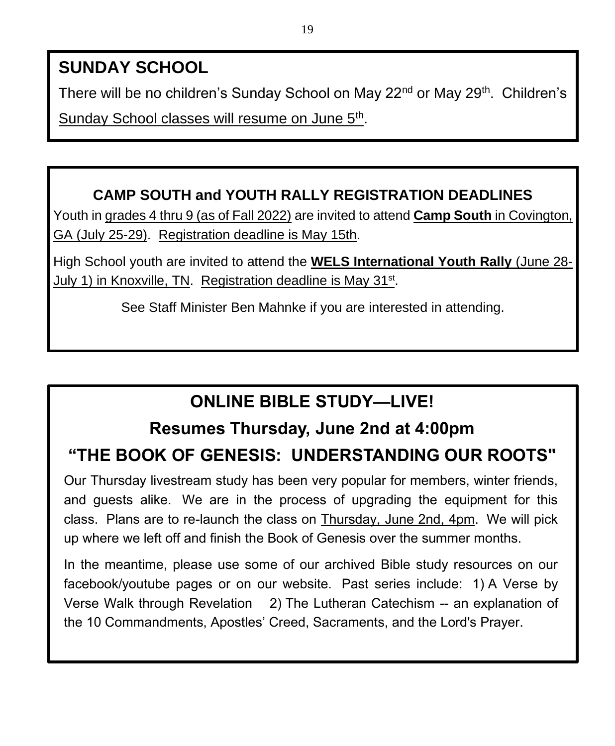## **SUNDAY SCHOOL**

There will be no children's Sunday School on May 22<sup>nd</sup> or May 29<sup>th</sup>. Children's Sunday School classes will resume on June 5<sup>th</sup>.

#### **CAMP SOUTH and YOUTH RALLY REGISTRATION DEADLINES**

Youth in grades 4 thru 9 (as of Fall 2022) are invited to attend **Camp South** in Covington, GA (July 25-29). Registration deadline is May 15th.

High School youth are invited to attend the **WELS International Youth Rally** (June 28- July 1) in Knoxville, TN. Registration deadline is May 31<sup>st</sup>.

See Staff Minister Ben Mahnke if you are interested in attending.

# **ONLINE BIBLE STUDY—LIVE!**

## **Resumes Thursday, June 2nd at 4:00pm**

## **"THE BOOK OF GENESIS: UNDERSTANDING OUR ROOTS"**

Our Thursday livestream study has been very popular for members, winter friends, and guests alike. We are in the process of upgrading the equipment for this class. Plans are to re-launch the class on Thursday, June 2nd, 4pm. We will pick up where we left off and finish the Book of Genesis over the summer months.

In the meantime, please use some of our archived Bible study resources on our facebook/youtube pages or on our website. Past series include: 1) A Verse by Verse Walk through Revelation 2) The Lutheran Catechism -- an explanation of the 10 Commandments, Apostles' Creed, Sacraments, and the Lord's Prayer.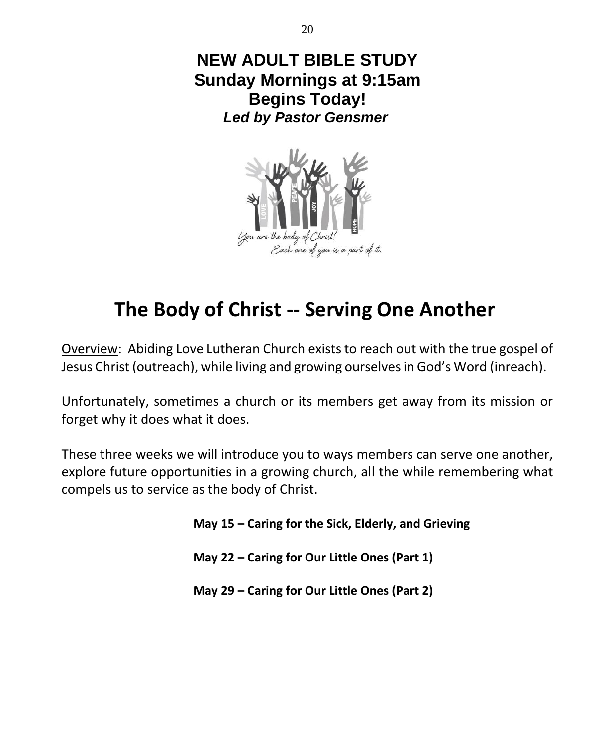



# **The Body of Christ -- Serving One Another**

Overview: Abiding Love Lutheran Church exists to reach out with the true gospel of Jesus Christ (outreach), while living and growing ourselves in God's Word (inreach).

Unfortunately, sometimes a church or its members get away from its mission or forget why it does what it does.

These three weeks we will introduce you to ways members can serve one another, explore future opportunities in a growing church, all the while remembering what compels us to service as the body of Christ.

**May 15 – Caring for the Sick, Elderly, and Grieving**

**May 22 – Caring for Our Little Ones (Part 1)**

**May 29 – Caring for Our Little Ones (Part 2)**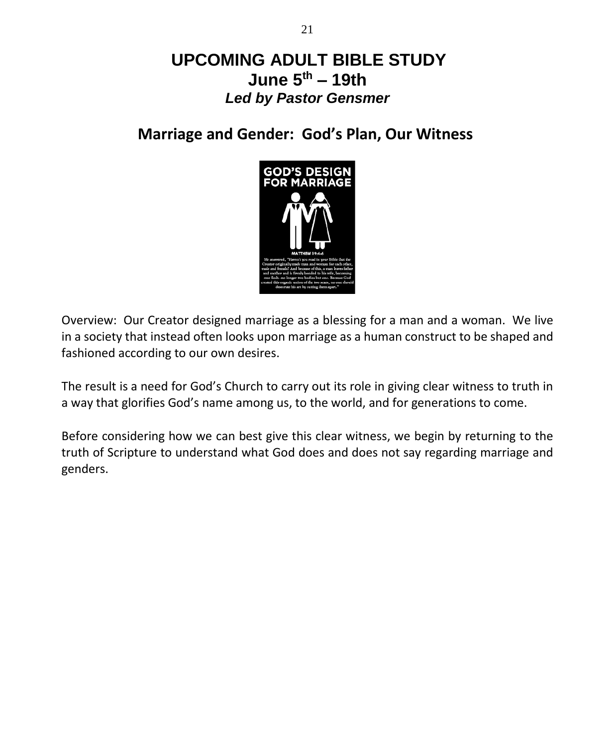#### **UPCOMING ADULT BIBLE STUDY June 5th – 19th** *Led by Pastor Gensmer*

**Marriage and Gender: God's Plan, Our Witness**



Overview: Our Creator designed marriage as a blessing for a man and a woman. We live in a society that instead often looks upon marriage as a human construct to be shaped and fashioned according to our own desires.

The result is a need for God's Church to carry out its role in giving clear witness to truth in a way that glorifies God's name among us, to the world, and for generations to come.

Before considering how we can best give this clear witness, we begin by returning to the truth of Scripture to understand what God does and does not say regarding marriage and genders.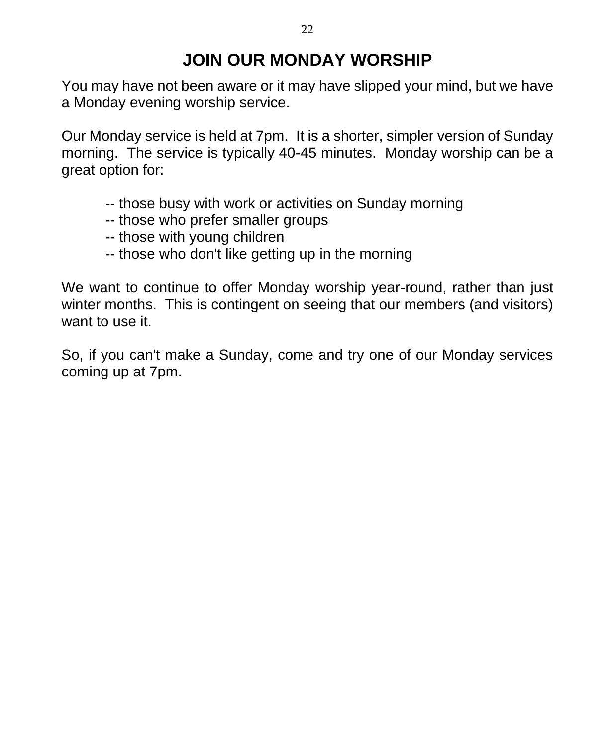## **JOIN OUR MONDAY WORSHIP**

You may have not been aware or it may have slipped your mind, but we have a Monday evening worship service.

Our Monday service is held at 7pm. It is a shorter, simpler version of Sunday morning. The service is typically 40-45 minutes. Monday worship can be a great option for:

- -- those busy with work or activities on Sunday morning
- -- those who prefer smaller groups
- -- those with young children
- -- those who don't like getting up in the morning

We want to continue to offer Monday worship year-round, rather than just winter months. This is contingent on seeing that our members (and visitors) want to use it.

So, if you can't make a Sunday, come and try one of our Monday services coming up at 7pm.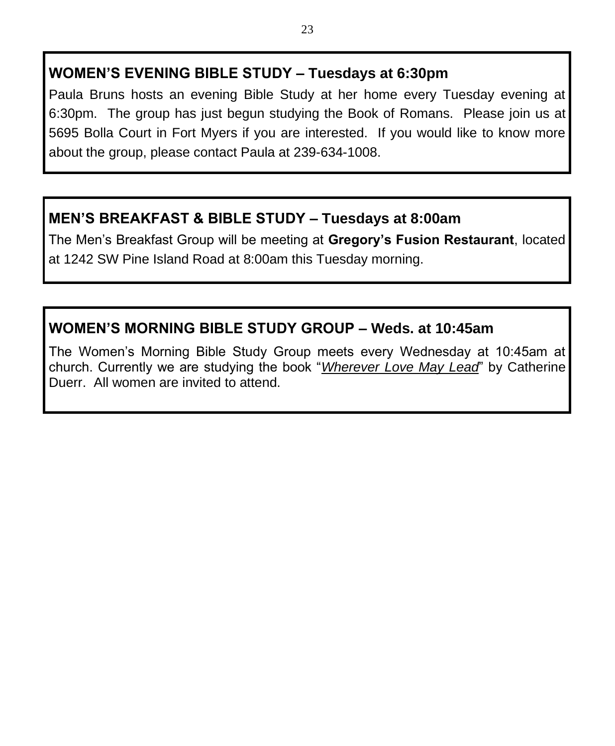Paula Bruns hosts an evening Bible Study at her home every Tuesday evening at 6:30pm. The group has just begun studying the Book of Romans. Please join us at 5695 Bolla Court in Fort Myers if you are interested. If you would like to know more about the group, please contact Paula at 239-634-1008.

#### **MEN'S BREAKFAST & BIBLE STUDY – Tuesdays at 8:00am**

The Men's Breakfast Group will be meeting at **Gregory's Fusion Restaurant**, located at 1242 SW Pine Island Road at 8:00am this Tuesday morning.

#### **WOMEN'S MORNING BIBLE STUDY GROUP – Weds. at 10:45am**

The Women's Morning Bible Study Group meets every Wednesday at 10:45am at church. Currently we are studying the book "*Wherever Love May Lead*" by Catherine Duerr. All women are invited to attend.